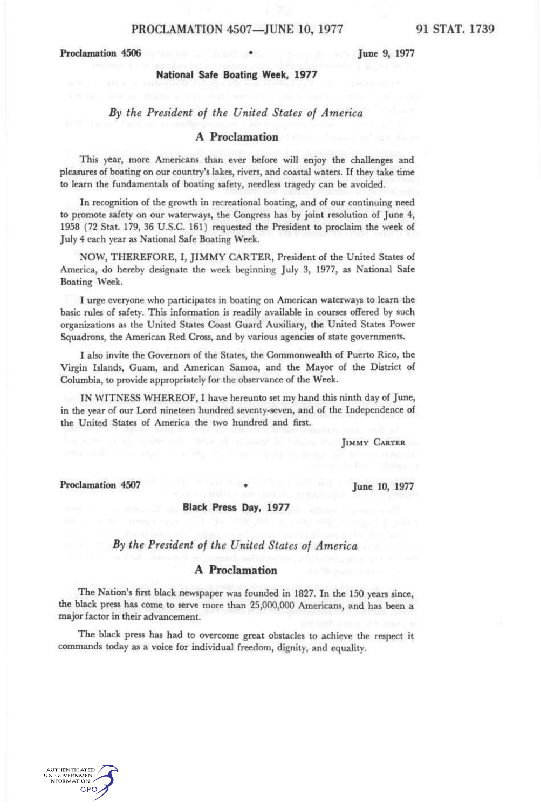## Proclamation 4506 **• June 9, 1977**

# **National Safe Boating Week, 1977**

# *By the President of the United States of America*

# **A Proclamation**

This year, more Americans than ever before will enjoy the challenges and pleasures of boating on our country's lakes, rivers, and coastal waters. If they take time to learn the fundamentals of boating safety, needless tragedy can be avoided.

In recognition of the growth in recreational boating, and of our continuing need to promote safety on our waterways, the Congress has by joint resolution of June 4, 1958 (72 Stat. 179, 36 U.S.C. 161) requested the President to proclaim the week of July 4 each year as National Safe Boating Week.

NOW, THEREFORE, I, JIMMY CARTER, President of the United States of America, do hereby designate the week beginning July 3, 1977, as National Safe Boating Week.

I urge everyone who participates in boating on American waterways to learn the basic rules of safety. This information is readily available in courses offered by such organizations as the United States Coast Guard Auxiliary, the United States Power Squadrons, the American Red Cross, and by various agencies of state governments.

I also invite the Governors of the States, the Commonwealth of Puerto Rico, the Virgin Islands, Guam, and American Samoa, and the Mayor of the District of Columbia, to provide appropriately for the observance of the Week.

IN WITNESS WHEREOF, I have hereunto set my hand this ninth day of June, in the year of our Lord nineteen hundred seventy-seven, and of the Independence of the United States of America the two hundred and first.

**JIMMY CARTER** 

Proclamation 4507 **•** June 10, 1977

# **Black Press Day, 1977**

# *By the President of the United States of America*

# *A* **Proclamation**

The Nation's first black newspaper was founded in 1827. In the 150 years since, the black press has come to serve more than 25,000,000 Americans, and has been a major factor in their advancement.

The black press has had to overcome great obstacles to achieve the respect it commands today as a voice for individual freedom, dignity, and equality.